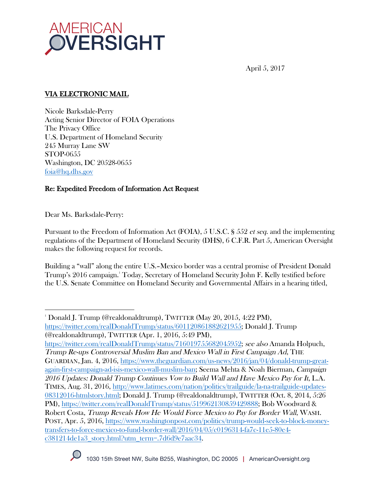

April 5, 2017

# VIA ELECTRONIC MAIL

Nicole Barksdale-Perry Acting Senior Director of FOIA Operations The Privacy Office U.S. Department of Homeland Security 245 Murray Lane SW STOP-0655 Washington, DC 20528-0655 foia@hq.dhs.gov

# Re: Expedited Freedom of Information Act Request

Dear Ms. Barksdale-Perry:

 

Pursuant to the Freedom of Information Act (FOIA), 5 U.S.C. § 552 et seq. and the implementing regulations of the Department of Homeland Security (DHS), 6 C.F.R. Part 5, American Oversight makes the following request for records.

Building a "wall" along the entire U.S.–Mexico border was a central promise of President Donald Trump's 2016 campaign.1 Today, Secretary of Homeland Security John F. Kelly testified before the U.S. Senate Committee on Homeland Security and Governmental Affairs in a hearing titled,

https://twitter.com/realDonaldTrump/status/716019755682045952; see also Amanda Holpuch, Trump Re-ups Controversial Muslim Ban and Mexico Wall in First Campaign Ad, THE GUARDIAN, Jan. 4, 2016, https://www.theguardian.com/us-news/2016/jan/04/donald-trump-greatagain-first-campaign-ad-isis-mexico-wall-muslim-ban; Seema Mehta & Noah Bierman, Campaign 2016 Updates: Donald Trump Continues Vow to Build Wall and Have Mexico Pay for It, L.A. TIMES, Aug. 31, 2016, http://www.latimes.com/nation/politics/trailguide/la-na-trailguide-updates-08312016-htmlstory.html; Donald J. Trump (@realdonaldtrump), TWITTER (Oct. 8, 2014, 5:26 PM), https://twitter.com/realDonaldTrump/status/519962130859429888; Bob Woodward & Robert Costa, Trump Reveals How He Would Force Mexico to Pay for Border Wall, WASH. POST, Apr. 5, 2016, https://www.washingtonpost.com/politics/trump-would-seek-to-block-moneytransfers-to-force-mexico-to-fund-border-wall/2016/04/05/c0196314-fa7c-11e5-80e4 c381214de1a3\_story.html?utm\_term=.7d6d9e7aac34.



<sup>1</sup> Donald J. Trump (@realdonaldtrump), TWITTER (May 20, 2015, 4:22 PM), https://twitter.com/realDonaldTrump/status/601120861882621955; Donald J. Trump (@realdonaldtrump), TWITTER (Apr. 1, 2016, 5:49 PM),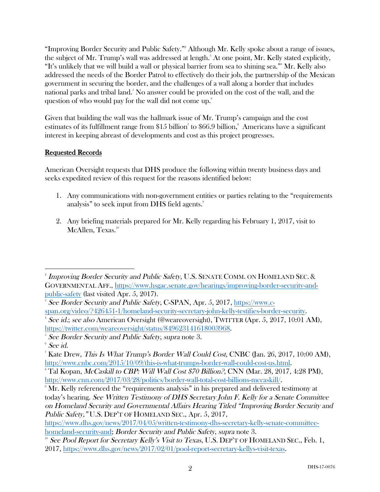"Improving Border Security and Public Safety."<sup>2</sup> Although Mr. Kelly spoke about a range of issues, the subject of Mr. Trump's wall was addressed at length. $^3$  At one point, Mr. Kelly stated explicitly, "It's unlikely that we will build a wall or physical barrier from sea to shining sea."4 Mr. Kelly also addressed the needs of the Border Patrol to effectively do their job, the partnership of the Mexican government in securing the border, and the challenges of a wall along a border that includes national parks and tribal land.5 No answer could be provided on the cost of the wall, and the question of who would pay for the wall did not come up. 6

Given that building the wall was the hallmark issue of Mr. Trump's campaign and the cost estimates of its fulfillment range from  $\$15$  billion<sup>7</sup> to  $\$66.9$  billion,<sup>8</sup> Americans have a significant interest in keeping abreast of developments and cost as this project progresses.

# Requested Records

American Oversight requests that DHS produce the following within twenty business days and seeks expedited review of this request for the reasons identified below:

- 1. Any communications with non-government entities or parties relating to the "requirements analysis" to seek input from DHS field agents. 9
- 2. Any briefing materials prepared for Mr. Kelly regarding his February 1, 2017, visit to McAllen, Texas.<sup>10</sup>

https://www.dhs.gov/news/2017/04/05/written-testimony-dhs-secretary-kelly-senate-committeehomeland-security-and; Border Security and Public Safety, supra note 3.

  $^{\text{\tiny{2}}}$  Improving Border Security and Public Safety, U.S. SENATE COMM. ON HOMELAND SEC. & GOVERNMENTAL AFF., https://www.hsgac.senate.gov/hearings/improving-border-security-andpublic-safety (last visited Apr. 5, 2017).

<sup>&</sup>lt;sup>3</sup> See Border Security and Public Safety, C-SPAN, Apr. 5, 2017, <u>https://www.c-</u> span.org/video/?426451-1/homeland-security-secretary-john-kelly-testifies-border-security.

<sup>4</sup> See id.; see also American Oversight (@weareoversight), TWITTER (Apr. 5, 2017, 10:01 AM), https://twitter.com/weareoversight/status/849623141618003968.

 $^{\circ}$  See Border Security and Public Safety, supra note 3.

 $^{\circ}$  See id.

<sup>&</sup>lt;sup>7</sup> Kate Drew, *This Is What Trump's Border Wall Could Cost*, CNBC (Jan. 26, 2017, 10:00 AM), http://www.cnbc.com/2015/10/09/this-is-what-trumps-border-wall-could-cost-us.html.

 $^{\circ}$  Tal Kopan, *McCaskill to CBP: Will Wall Cost \$70 Billion?*, CNN (Mar. 28, 2017, 4:28 PM), http://www.cnn.com/2017/03/28/politics/border-wall-total-cost-billions-mccaskill/.

 $^{\circ}$  Mr. Kelly referenced the "requirements analysis" in his prepared and delivered testimony at today's hearing. See Written Testimony of DHS Secretary John F. Kelly for a Senate Committee on Homeland Security and Governmental Affairs Hearing Titled "Improving Border Security and Public Safety," U.S. DEP'T OF HOMELAND SEC., Apr. 5, 2017,

 $10^{\circ}$  See Pool Report for Secretary Kelly's Visit to Texas, U.S. DEP'T OF HOMELAND SEC., Feb. 1, 2017, https://www.dhs.gov/news/2017/02/01/pool-report-secretary-kellys-visit-texas.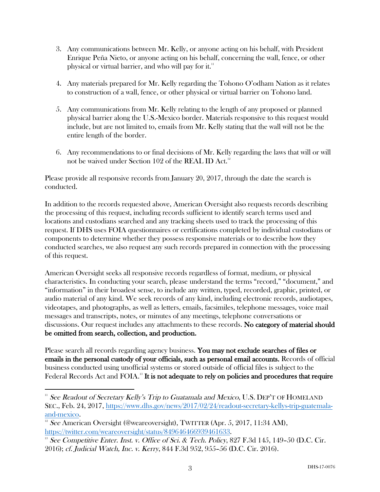- 3. Any communications between Mr. Kelly, or anyone acting on his behalf, with President Enrique Peña Nieto, or anyone acting on his behalf, concerning the wall, fence, or other physical or virtual barrier, and who will pay for it."
- 4. Any materials prepared for Mr. Kelly regarding the Tohono O'odham Nation as it relates to construction of a wall, fence, or other physical or virtual barrier on Tohono land.
- 5. Any communications from Mr. Kelly relating to the length of any proposed or planned physical barrier along the U.S.-Mexico border. Materials responsive to this request would include, but are not limited to, emails from Mr. Kelly stating that the wall will not be the entire length of the border.
- 6. Any recommendations to or final decisions of Mr. Kelly regarding the laws that will or will not be waived under Section 102 of the REAL ID Act.<sup>12</sup>

Please provide all responsive records from January 20, 2017, through the date the search is conducted.

In addition to the records requested above, American Oversight also requests records describing the processing of this request, including records sufficient to identify search terms used and locations and custodians searched and any tracking sheets used to track the processing of this request. If DHS uses FOIA questionnaires or certifications completed by individual custodians or components to determine whether they possess responsive materials or to describe how they conducted searches, we also request any such records prepared in connection with the processing of this request.

American Oversight seeks all responsive records regardless of format, medium, or physical characteristics. In conducting your search, please understand the terms "record," "document," and "information" in their broadest sense, to include any written, typed, recorded, graphic, printed, or audio material of any kind. We seek records of any kind, including electronic records, audiotapes, videotapes, and photographs, as well as letters, emails, facsimiles, telephone messages, voice mail messages and transcripts, notes, or minutes of any meetings, telephone conversations or discussions. Our request includes any attachments to these records. No category of material should be omitted from search, collection, and production.

Please search all records regarding agency business. You may not exclude searches of files or emails in the personal custody of your officials, such as personal email accounts. Records of official business conducted using unofficial systems or stored outside of official files is subject to the Federal Records Act and  $\rm FOIA$ .<sup>13</sup> It is not adequate to rely on policies and procedures that require

 

 $11$  See Readout of Secretary Kelly's Trip to Guatamala and Mexico, U.S. DEP'T OF HOMELAND SEC., Feb. 24, 2017, https://www.dhs.gov/news/2017/02/24/readout-secretary-kellys-trip-guatemalaand-mexico.

<sup>&</sup>lt;sup>12</sup> See American Oversight (@weareoversight), TWITTER (Apr. 5, 2017, 11:34 AM), https://twitter.com/weareoversight/status/849646466939461633.

<sup>&</sup>lt;sup>13</sup> See Competitive Enter. Inst. v. Office of Sci. & Tech. Policy, 827 F.3d 145, 149–50 (D.C. Cir. 2016); cf. Judicial Watch, Inc. v. Kerry, 844 F.3d 952, 955–56 (D.C. Cir. 2016).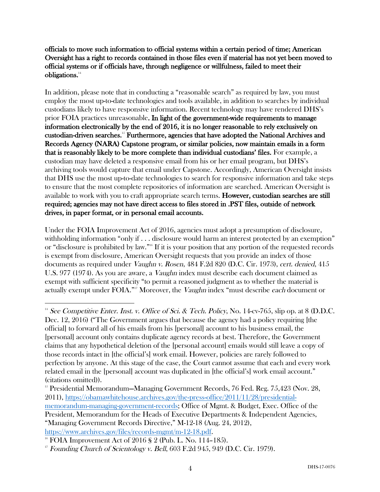#### officials to move such information to official systems within a certain period of time; American Oversight has a right to records contained in those files even if material has not yet been moved to official systems or if officials have, through negligence or willfulness, failed to meet their obligations.<sup>14</sup>

In addition, please note that in conducting a "reasonable search" as required by law, you must employ the most up-to-date technologies and tools available, in addition to searches by individual custodians likely to have responsive information. Recent technology may have rendered DHS's prior FOIA practices unreasonable. In light of the government-wide requirements to manage information electronically by the end of 2016, it is no longer reasonable to rely exclusively on custodian-driven searches.15 Furthermore, agencies that have adopted the National Archives and Records Agency (NARA) Capstone program, or similar policies, now maintain emails in a form that is reasonably likely to be more complete than individual custodians' files. For example, a custodian may have deleted a responsive email from his or her email program, but DHS's archiving tools would capture that email under Capstone. Accordingly, American Oversight insists that DHS use the most up-to-date technologies to search for responsive information and take steps to ensure that the most complete repositories of information are searched. American Oversight is available to work with you to craft appropriate search terms. However, custodian searches are still required; agencies may not have direct access to files stored in .PST files, outside of network drives, in paper format, or in personal email accounts.

Under the FOIA Improvement Act of 2016, agencies must adopt a presumption of disclosure, withholding information "only if  $\dots$  disclosure would harm an interest protected by an exemption" or "disclosure is prohibited by law."16 If it is your position that any portion of the requested records is exempt from disclosure, American Oversight requests that you provide an index of those documents as required under Vaughn v. Rosen, 484 F.2d 820 (D.C. Cir. 1973), cert. denied, 415 U.S. 977 (1974). As you are aware, a Vaughn index must describe each document claimed as exempt with sufficient specificity "to permit a reasoned judgment as to whether the material is actually exempt under FOIA."<sup>17</sup> Moreover, the *Vaughn* index "must describe each document or

 

<sup>&</sup>lt;sup>14</sup> See Competitive Enter. Inst. v. Office of Sci. & Tech. Policy, No. 14-cv-765, slip op. at 8 (D.D.C. Dec. 12, 2016) ("The Government argues that because the agency had a policy requiring [the official] to forward all of his emails from his [personal] account to his business email, the [personal] account only contains duplicate agency records at best. Therefore, the Government claims that any hypothetical deletion of the [personal account] emails would still leave a copy of those records intact in [the official's] work email. However, policies are rarely followed to perfection by anyone. At this stage of the case, the Court cannot assume that each and every work related email in the [personal] account was duplicated in [the official's] work email account." (citations omitted)).

<sup>&</sup>lt;sup>15</sup> Presidential Memorandum—Managing Government Records, 76 Fed. Reg. 75,423 (Nov. 28, 2011), https://obamawhitehouse.archives.gov/the-press-office/2011/11/28/presidentialmemorandum-managing-government-records; Office of Mgmt. & Budget, Exec. Office of the President, Memorandum for the Heads of Executive Departments & Independent Agencies, "Managing Government Records Directive," M-12-18 (Aug. 24, 2012),

https://www.archives.gov/files/records-mgmt/m-12-18.pdf.<br><sup>16</sup> FOIA Improvement Act of 2016 § 2 (Pub. L. No. 114–185).

<sup>&</sup>lt;sup>17</sup> Founding Church of Scientology v. Bell,  $603$  F.2d  $945$ ,  $949$  (D.C. Cir. 1979).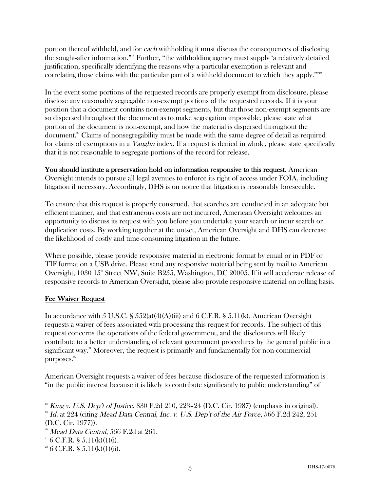portion thereof withheld, and for each withholding it must discuss the consequences of disclosing the sought-after information."18 Further, "the withholding agency must supply 'a relatively detailed justification, specifically identifying the reasons why a particular exemption is relevant and correlating those claims with the particular part of a withheld document to which they apply.'"19

In the event some portions of the requested records are properly exempt from disclosure, please disclose any reasonably segregable non-exempt portions of the requested records. If it is your position that a document contains non-exempt segments, but that those non-exempt segments are so dispersed throughout the document as to make segregation impossible, please state what portion of the document is non-exempt, and how the material is dispersed throughout the document.20 Claims of nonsegregability must be made with the same degree of detail as required for claims of exemptions in a *Vaughn* index. If a request is denied in whole, please state specifically that it is not reasonable to segregate portions of the record for release.

You should institute a preservation hold on information responsive to this request. American Oversight intends to pursue all legal avenues to enforce its right of access under FOIA, including litigation if necessary. Accordingly, DHS is on notice that litigation is reasonably foreseeable.

To ensure that this request is properly construed, that searches are conducted in an adequate but efficient manner, and that extraneous costs are not incurred, American Oversight welcomes an opportunity to discuss its request with you before you undertake your search or incur search or duplication costs. By working together at the outset, American Oversight and DHS can decrease the likelihood of costly and time-consuming litigation in the future.

Where possible, please provide responsive material in electronic format by email or in PDF or TIF format on a USB drive. Please send any responsive material being sent by mail to American Oversight, 1030  $15^{\circ}$  Street NW, Suite B255, Washington, DC 20005. If it will accelerate release of responsive records to American Oversight, please also provide responsive material on rolling basis.

## Fee Waiver Request

In accordance with 5 U.S.C. §  $552(a)(4)(A)(iii)$  and 6 C.F.R. §  $5.11(k)$ , American Oversight requests a waiver of fees associated with processing this request for records. The subject of this request concerns the operations of the federal government, and the disclosures will likely contribute to a better understanding of relevant government procedures by the general public in a significant way.<sup>21</sup> Moreover, the request is primarily and fundamentally for non-commercial purposes.<sup>22</sup>

American Oversight requests a waiver of fees because disclosure of the requested information is "in the public interest because it is likely to contribute significantly to public understanding" of

  $18$  King v. U.S. Dep't of Justice, 830 F.2d 210, 223-24 (D.C. Cir. 1987) (emphasis in original).

<sup>&</sup>lt;sup>19</sup> Id. at 224 (citing Mead Data Central, Inc. v. U.S. Dep't of the Air Force, 566 F.2d 242, 251 (D.C. Cir. 1977)).

 $20$  Mead Data Central, 566 F.2d at 261.

 $21 \text{ } 6 \text{ } C.F.R. \text{ }$  § 5.11(k)(1)(i).

 $22 \text{ } 6 \text{ C.F.R. }$  § 5.11(k)(1)(ii).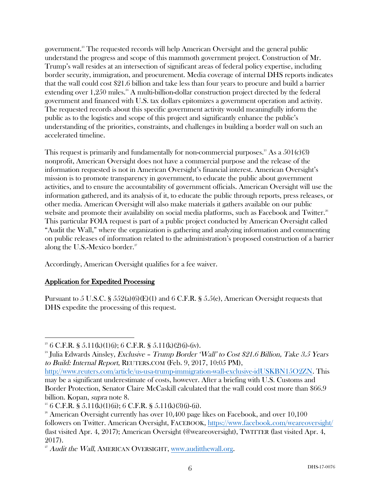government.<sup>23</sup> The requested records will help American Oversight and the general public understand the progress and scope of this mammoth government project. Construction of Mr. Trump's wall resides at an intersection of significant areas of federal policy expertise, including border security, immigration, and procurement. Media coverage of internal DHS reports indicates that the wall could cost \$21.6 billion and take less than four years to procure and build a barrier extending over 1,250 miles.<sup>24</sup> A multi-billion-dollar construction project directed by the federal government and financed with U.S. tax dollars epitomizes a government operation and activity. The requested records about this specific government activity would meaningfully inform the public as to the logistics and scope of this project and significantly enhance the public's understanding of the priorities, constraints, and challenges in building a border wall on such an accelerated timeline.

This request is primarily and fundamentally for non-commercial purposes.<sup>25</sup> As a  $501(c)(3)$ nonprofit, American Oversight does not have a commercial purpose and the release of the information requested is not in American Oversight's financial interest. American Oversight's mission is to promote transparency in government, to educate the public about government activities, and to ensure the accountability of government officials. American Oversight will use the information gathered, and its analysis of it, to educate the public through reports, press releases, or other media. American Oversight will also make materials it gathers available on our public website and promote their availability on social media platforms, such as Facebook and Twitter.<sup>26</sup> This particular FOIA request is part of a public project conducted by American Oversight called "Audit the Wall," where the organization is gathering and analyzing information and commenting on public releases of information related to the administration's proposed construction of a barrier along the U.S.-Mexico border. $27$ 

Accordingly, American Oversight qualifies for a fee waiver.

## Application for Expedited Processing

Pursuant to 5 U.S.C. § 552(a)(6)(E)(1) and 6 C.F.R. § 5.5(e), American Oversight requests that DHS expedite the processing of this request.

 <sup>23</sup> 6 C.F.R. § 5.11(k)(1)(i); 6 C.F.R. § 5.11(k)(2)(i)-(iv).

<sup>&</sup>lt;sup>24</sup> Julia Edwards Ainsley, *Exclusive – Trump Border 'Wall' to Cost \$21.6 Billion, Take 3.5 Years* to Build: Internal Report, REUTERS.COM (Feb. 9, 2017, 10:05 PM),

http://www.reuters.com/article/us-usa-trump-immigration-wall-exclusive-idUSKBN15O2ZN. This may be a significant underestimate of costs, however. After a briefing with U.S. Customs and Border Protection, Senator Claire McCaskill calculated that the wall could cost more than \$66.9 billion. Kopan, *supra* note 8.<br><sup>25</sup> 6 C.F.R. § 5.11(k)(1)(ii); 6 C.F.R. § 5.11(k)(3)(i)-(ii).

 $26$  American Oversight currently has over 10,400 page likes on Facebook, and over 10,100 followers on Twitter. American Oversight, FACEBOOK, https://www.facebook.com/weareoversight/ (last visited Apr. 4, 2017); American Oversight (@weareoversight), TWITTER (last visited Apr. 4, 2017).

 $27$  Audit the Wall, AMERICAN OVERSIGHT, www.auditthewall.org.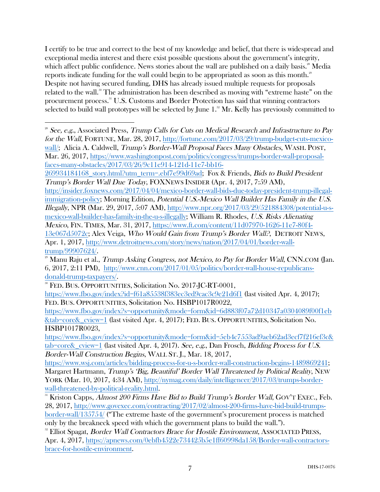I certify to be true and correct to the best of my knowledge and belief, that there is widespread and exceptional media interest and there exist possible questions about the government's integrity, which affect public confidence. News stories about the wall are published on a daily basis.<sup>28</sup> Media reports indicate funding for the wall could begin to be appropriated as soon as this month.<sup>29</sup> Despite not having secured funding, DHS has already issued multiple requests for proposals related to the wall. <sup>30</sup> The administration has been described as moving with "extreme haste" on the procurement process.31 U.S. Customs and Border Protection has said that winning contractors selected to build wall prototypes will be selected by June 1.<sup>32</sup> Mr. Kelly has previously committed to

http://insider.foxnews.com/2017/04/04/mexico-border-wall-bids-due-today-president-trump-illegalimmigration-policy; Morning Edition, *Potential U.S.-Mexico Wall Builder Has Family in the U.S.* Illegally, NPR (Mar. 29, 2017, 5:07 AM), http://www.npr.org/2017/03/29/521884308/potential-u-smexico-wall-builder-has-family-in-the-u-s-illegally; William R. Rhodes, U.S. Risks Alienating Mexico, FIN. TIMES, Mar. 31, 2017, https://www.ft.com/content/11d07970-1626-11e7-80f4- 13e067d5072c; Alex Veiga, Who Would Gain from Trump's Border Wall?, DETROIT NEWS, Apr. 1, 2017, http://www.detroitnews.com/story/news/nation/2017/04/01/border-walltrump/99907624/.

FED. BUS. OPPORTUNITIES, Solicitation No. HSBP1017R0022,

 

https://www.fbo.gov/index?s=opportunity&mode=form&id=6d883f07a72d10347a0304089f00f1eb &tab=core&\_cview=1 (last visited Apr. 4, 2017); FED. BUS. OPPORTUNITIES, Solicitation No. HSBP1017R0023,

https://www.fbo.gov/index?s=opportunity&mode=form&id=5eb4c7553ad9aeb62ad3ecf7f216ef3c& tab=core& cview=1 (last visited Apr. 4, 2017). See, e.g., Dan Frosch, Bidding Process for U.S. Border-Wall Construction Begins, WALL ST. J., Mar. 18, 2017,

https://www.wsj.com/articles/bidding-process-for-u-s-border-wall-construction-begins-1489869241; Margaret Hartmann, Trump's 'Big, Beautiful' Border Wall Threatened by Political Reality, NEW YORK (Mar. 10, 2017, 4:34 AM), http://nymag.com/daily/intelligencer/2017/03/trumps-border-

wall-threatened-by-political-reality.html.<br><sup>31</sup> Kriston Capps, *Almost 200 Firms Have Bid to Build Trump's Border Wall*, GOV'T EXEC., Feb. 28, 2017, http://www.govexec.com/contracting/2017/02/almost-200-firms-have-bid-build-trumpsborder-wall/135754/ ("The extreme haste of the government's procurement process is matched only by the breakneck speed with which the government plans to build the wall.").

<sup>32</sup> Elliot Spagat, *Border Wall Contractors Brace for Hostile Environment*, ASSOCIATED PRESS, Apr. 4, 2017, https://apnews.com/0ebfb4522e734425b5e1ff60998da158/Border-wall-contractorsbrace-for-hostile-environment.

<sup>&</sup>lt;sup>28</sup> See, e.g., Associated Press, Trump Calls for Cuts on Medical Research and Infrastructure to Pay for the Wall, FORTUNE, Mar. 28, 2017, http://fortune.com/2017/03/29/trump-budget-cuts-mexicowall/; Alicia A. Caldwell, *Trump's Border-Wall Proposal Faces Many Obstacles*, WASH. POST, Mar. 26, 2017, https://www.washingtonpost.com/politics/congress/trumps-border-wall-proposalfaces-many-obstacles/2017/03/26/9c11e914-121d-11e7-bb16-

<sup>269934184168</sup>\_story.html?utm\_term=.ebf7e99d69ad; Fox & Friends, Bids to Build President Trump's Border Wall Due Today, FOXNEWS INSIDER (Apr. 4, 2017, 7:59 AM),

 $^{29}$  Manu Raju et al., Trump Asking Congress, not Mexico, to Pay for Border Wall, CNN.COM (Jan. 6, 2017, 2:11 PM), http://www.cnn.com/2017/01/05/politics/border-wall-house-republicans-

donald-trump-taxpayers/.<br><sup>30</sup> FED. BUS. OPPORTUNITIES, Solicitation No. 2017-JC-RT-0001, https://www.fbo.gov/index?id=f61a85538f383ec3ed9cac3c9e21d6f1 (last visited Apr. 4, 2017);